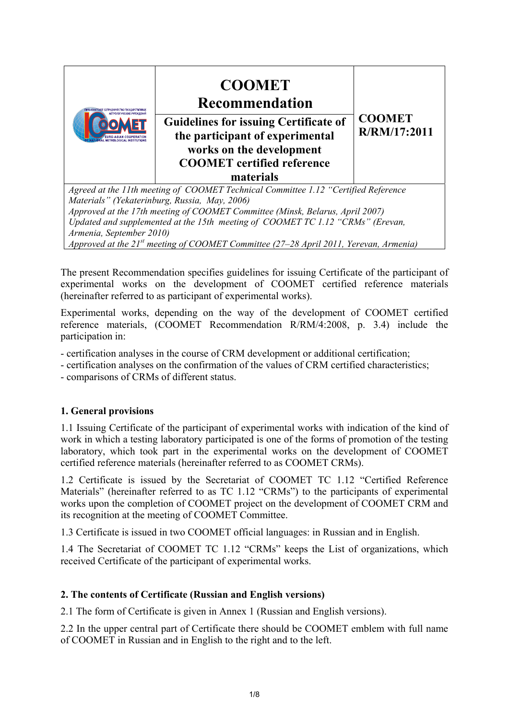

The present Recommendation specifies guidelines for issuing Certificate of the participant of experimental works on the development of COOMET certified reference materials (hereinafter referred to as participant of experimental works).

Experimental works, depending on the way of the development of COOMET certified reference materials, (COOMET Recommendation R/RM/4:2008, p. 3.4) include the participation in:

- certification analyses in the course of CRM development or additional certification;

- certification analyses on the confirmation of the values of CRM certified characteristics;

- comparisons of CRMs of different status.

## **1. General provisions**

1.1 Issuing Certificate of the participant of experimental works with indication of the kind of work in which a testing laboratory participated is one of the forms of promotion of the testing laboratory, which took part in the experimental works on the development of COOMET certified reference materials (hereinafter referred to as COOMET CRMs).

1.2 Certificate is issued by the Secretariat of COOMET TC 1.12 "Certified Reference Materials" (hereinafter referred to as TC 1.12 "CRMs") to the participants of experimental works upon the completion of COOMET project on the development of COOMET CRM and its recognition at the meeting of COOMET Committee.

1.3 Certificate is issued in two COOMET official languages: in Russian and in English.

1.4 The Secretariat of COOMET TC 1.12 "CRMs" keeps the List of organizations, which received Certificate of the participant of experimental works.

## **2. The contents of Certificate (Russian and English versions)**

2.1 The form of Certificate is given in Annex 1 (Russian and English versions).

2.2 In the upper central part of Certificate there should be COOMET emblem with full name of COOMET in Russian and in English to the right and to the left.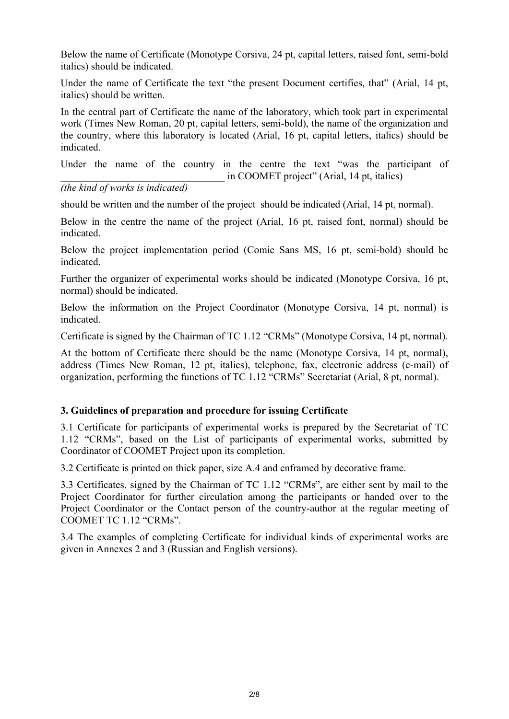Below the name of Certificate (Monotype Corsiva, 24 pt, capital letters, raised font, semi-bold italics) should be indicated.

Under the name of Certificate the text "the present Document certifies, that" (Arial, 14 pt, italics) should be written.

In the central part of Certificate the name of the laboratory, which took part in experimental work (Times New Roman, 20 pt, capital letters, semi-bold), the name of the organization and the country, where this laboratory is located (Arial, 16 pt, capital letters, italics) should be indicated.

Under the name of the country in the centre the text "was the participant of in COOMET project" (Arial, 14 pt, italics)

## *(the kind of works is indicated)*

should be written and the number of the project should be indicated (Arial, 14 pt, normal).

Below in the centre the name of the project (Arial, 16 pt, raised font, normal) should be indicated.

Below the project implementation period (Comic Sans MS, 16 pt, semi-bold) should be indicated.

Further the organizer of experimental works should be indicated (Monotype Cоrsiva, 16 pt, normal) should be indicated.

Below the information on the Project Coordinator (Monotype Cоrsiva, 14 pt, normal) is indicated.

Certificate is signed by the Chairman of TC 1.12 "CRMs" (Monotype Cоrsiva, 14 pt, normal).

At the bottom of Certificate there should be the name (Monotype Cоrsiva, 14 pt, normal), address (Times New Roman, 12 pt, italics), telephone, fax, electronic address (e-mail) of organization, performing the functions of TC 1.12 "CRMs" Secretariat (Arial, 8 pt, normal).

## **3. Guidelines of preparation and procedure for issuing Certificate**

3.1 Certificate for participants of experimental works is prepared by the Secretariat of TC 1.12 "CRMs", based on the List of participants of experimental works, submitted by Coordinator of COOMET Project upon its completion.

3.2 Certificate is printed on thick paper, size A.4 and enframed by decorative frame.

3.3 Certificates, signed by the Chairman of TC 1.12 "CRMs", are either sent by mail to the Project Coordinator for further circulation among the participants or handed over to the Project Coordinator or the Contact person of the country-author at the regular meeting of COOMET TC 1.12 "CRMs".

3.4 The examples of completing Certificate for individual kinds of experimental works are given in Annexes 2 and 3 (Russian and English versions).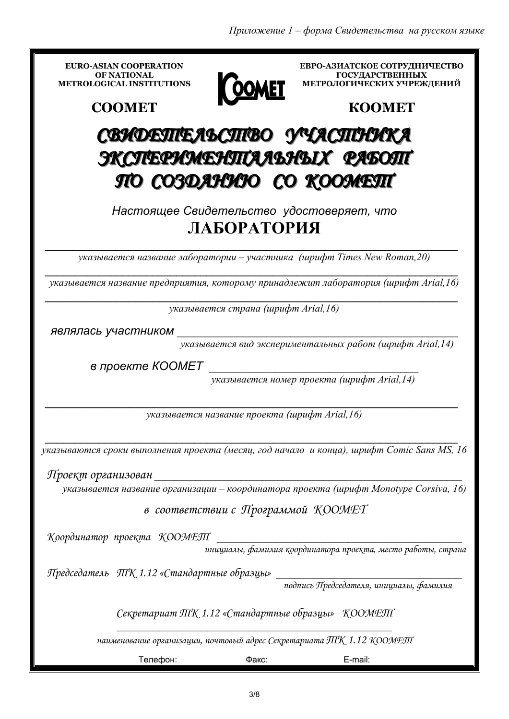| <b>EURO-ASIAN COOPERATION</b><br><b>OF NATIONAL</b>                                  |       | ЕВРО-АЗИАТСКОЕ СОТРУДНИЧЕСТВО<br><b>ГОСУДАРСТВЕННЫХ</b>                                   |
|--------------------------------------------------------------------------------------|-------|-------------------------------------------------------------------------------------------|
| <b>METROLOGICAL INSTITUTIONS</b>                                                     |       | МЕТРОЛОГИЧЕСКИХ УЧРЕЖДЕНИЙ                                                                |
| <b>COOMET</b>                                                                        |       | <b>KOOMET</b>                                                                             |
|                                                                                      |       | СВИДЕЛГЕЛЬСЛГВО УЧАСЛГНИКА                                                                |
| ЭКСЛЕРИМЕНЛИАЛЬНЫХ РАБОЛГ                                                            |       |                                                                                           |
|                                                                                      |       | ПО СОЗДАНИЮ СО КООМЕЛТ                                                                    |
| Настоящее Свидетельство удостоверяет, что<br>ЛАБОРАТОРИЯ                             |       |                                                                                           |
| указывается название лаборатории – участника (шрифт Times New Roman, 20)             |       |                                                                                           |
| указывается название предприятия, которому принадлежит лаборатория (шрифт Arial,16)  |       |                                                                                           |
| указывается страна (шрифт Arial, 16)                                                 |       |                                                                                           |
| являлась участником                                                                  |       |                                                                                           |
|                                                                                      |       | указывается вид экспериментальных работ (шрифт Arial, 14)                                 |
| в проекте КООМЕТ                                                                     |       |                                                                                           |
|                                                                                      |       | указывается номер проекта (шрифт Arial, 14)                                               |
| указывается название проекта (шрифт Arial, 16)                                       |       |                                                                                           |
|                                                                                      |       | указываются сроки выполнения проекта (месяц, год начало и конца), шрифт Comic Sans MS, 16 |
| Проеқт организован                                                                   |       |                                                                                           |
| указывается название организации – координатора проекта (шрифт Monotype Corsiva, 16) |       |                                                                                           |
| в соответствии с Программой КООМЕТ                                                   |       |                                                                                           |
| Координатор проекта КООМЕЛІ                                                          |       |                                                                                           |
|                                                                                      |       | инициалы, фамилия қоординатора проеқта, место работы, страна                              |
| Председатель ПГК 1.12 «Стандартные образцы»                                          |       | подпись Председателя, инициалы, фамилия                                                   |
| Секретариат ЛІК 1.12 «Стандартные образцы» КООМЕЛІ                                   |       |                                                                                           |
|                                                                                      |       | наименование организации, почтовый адрес Секретариата ПГК 1.12 КООМЕЛІ                    |
| Телефон:                                                                             | Факс: | E-mail:                                                                                   |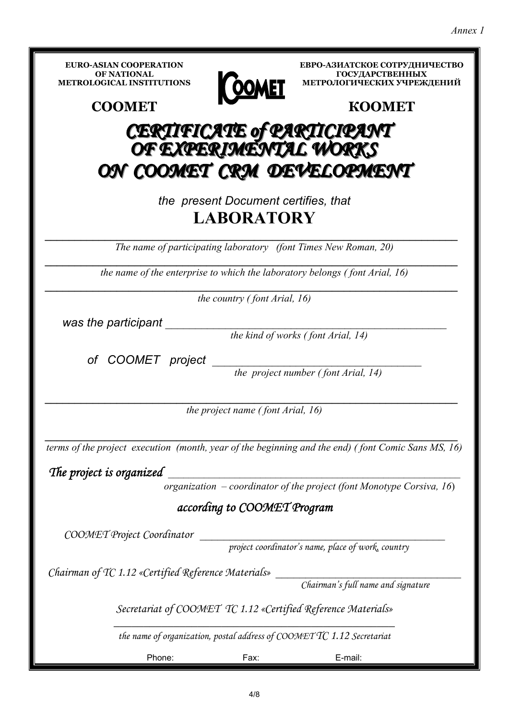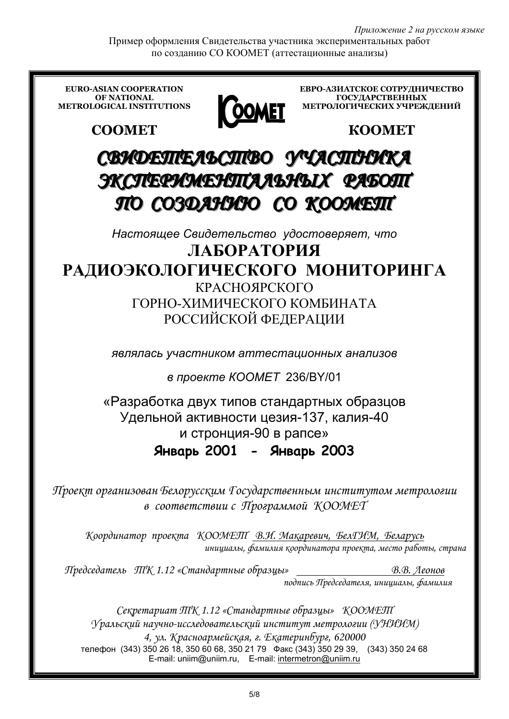*Приложение 2 на русском языке*

Пример оформления Свидетельства участника экспериментальных работ по созданию СО КООМЕТ (аттестационные анализы)

**EURO-ASIAN COOPERATION ЕВРО-АЗИАТСКОЕ СОТРУДНИЧЕСТВО ГОСУДАРСТВЕННЫХ OF NATIONAL METROLOGICAL INSTITUTIONS OOMET МЕТРОЛОГИЧЕСКИХ УЧРЕЖДЕНИЙ COOMET КООМЕТ** СВИ**ДЕЛТЕЛЬСЛТВО** УЧАСЛГНИКА ЭКСЛЕРИМЕНПТАЛЬНЫХ РАБОПТ ППООССООЗЗДДААННИИЮЮССООККООООММЕЕТТ *Настоящее Свидетельство удостоверяет, что* **ЛАБОРАТОРИЯ РАДИОЭКОЛОГИЧЕСКОГО МОНИТОРИНГА** КРАСНОЯРСКОГО ГОРНО-ХИМИЧЕСКОГО КОМБИНАТА РОССИЙСКОЙ ФЕДЕРАЦИИ *являлась участником аттестационных анализов в проекте КООМЕТ* 236/BY/01 «Разработка двух типов стандартных образцов Удельной активности цезия-137, калия-40 и стронция-90 в рапсе» **Январь 2001 - Январь 2003** Проект организован Белорусским Государственным институтом метрологии всоответствии сПрограммойК*OOMET* КоординаторпроектаКООМЕТВ*.*И*.* Макаревич*,* БелГИМ*,* Беларусь инициалы*,* фамилия координатора проекта*,* место работы*,* страна ПредседательТК *1.12 «*Стандартные образцы*»* В*.*В*.* Леонов подпись Председателя*,* инициалы*,* фамилия Секретариат ЛІК 1.12 «Стандартные образцы» КООМЕЛІ Уральский научно*-*исследовательский институт метрологии *(*УНИИМ*)* 

*4,* ул*.* Красноармейская*,* г*.* Екатеринбург*, 620000*  телефон (343) 350 26 18, 350 60 68, 350 21 79 Факс (343) 350 29 39, (343) 350 24 68 E-mail: uniim@uniim.ru, E-mail: intermetron@uniim.ru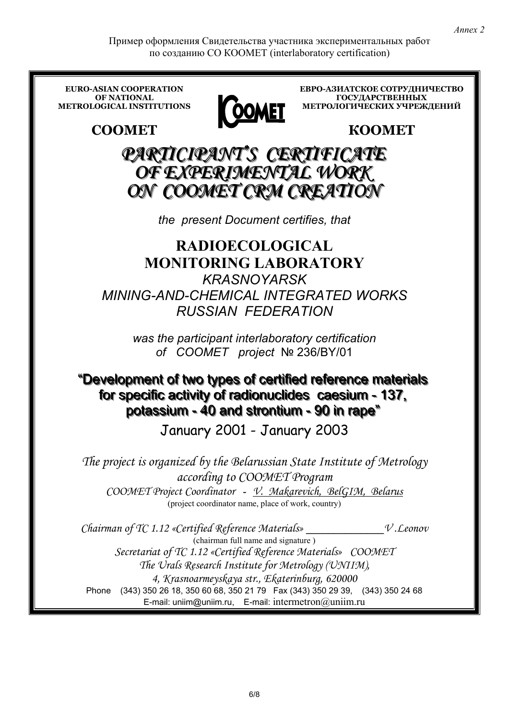Пример оформления Свидетельства участника экспериментальных работ по созданию CO KOOMET (interlaboratory certification)

**EURO-ASIAN COOPERATION** ЕВРО-АЗИАТСКОЕ СОТРУДНИЧЕСТВО OF NATIONAL **ГОСУДАРСТВЕННЫХ** МЕТРОЛОГИЧЕСКИХ УЧРЕЖДЕНИЙ **METROLOGICAL INSTITUTIONS** OOMET **KOOMET COOMET** PARTICIPANT'S CERTIFICATE OF EXPERIMENTAL WORK ON COOMET CRM CREATION the present Document certifies, that **RADIOECOLOGICAL MONITORING LABORATORY KRASNOYARSK MINING-AND-CHEMICAL INTEGRATED WORKS RUSSIAN FEDERATION** was the participant interlaboratory certification of COOMET project Nº 236/BY/01 "Development of two types of certified reference materials for specific activity of radionuclides caesium - 137, potassium - 40 and strontium - 90 in rape" January 2001 - January 2003 The project is organized by the Belarussian State Institute of Metrology according to COOMET Program COOMET Project Coordinator - V. Makarevich, BelGIM, Belarus (project coordinator name, place of work, country) Chairman of TC 1.12 «Certified Reference Materials»  $V.L.$ eonov (chairman full name and signature) Secretariat of TC 1.12 «Certified Reference Materials» COOMET The Urals Research Institute for Metrology (UNIIM), 4, Krasnoarmeyskaya str., Ekaterinburg, 620000 Phone (343) 350 26 18, 350 60 68, 350 21 79 Fax (343) 350 29 39, (343) 350 24 68 E-mail: uniim@uniim.ru, E-mail: intermetron $@$ uniim.ru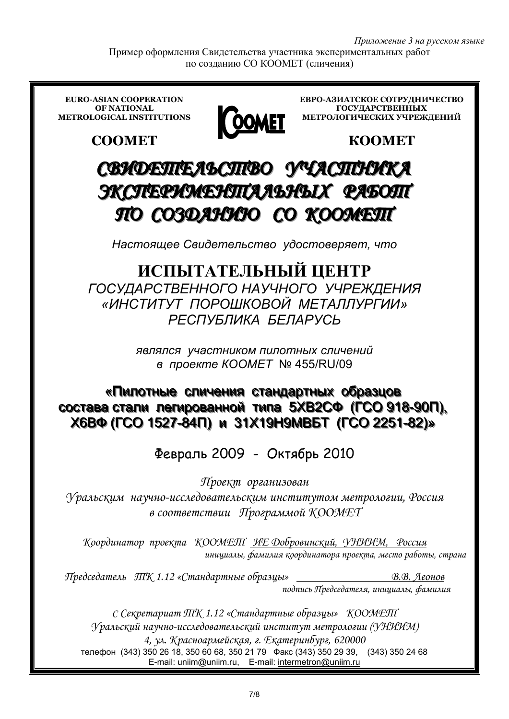Пример оформления Свидетельства участника экспериментальных работ по созданию СО КООМЕТ (сличения)